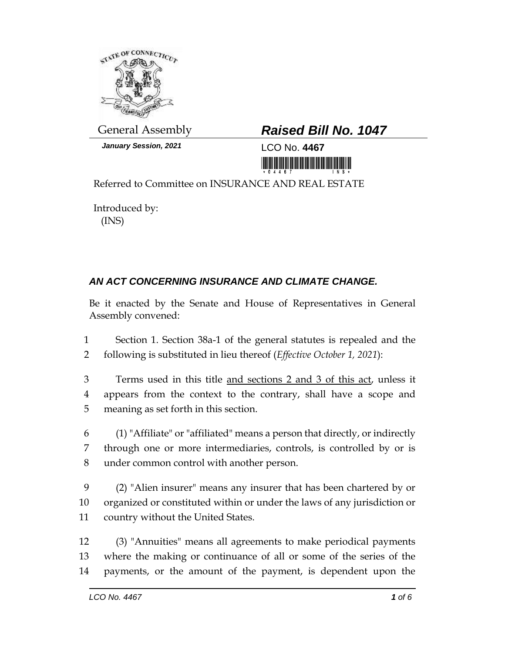

*January Session, 2021* LCO No. **4467**

## General Assembly *Raised Bill No. 1047*

<u> III Martin Martin Martin Martin Martin Martin Martin Martin Martin Martin Martin Martin Martin Mar</u>

Referred to Committee on INSURANCE AND REAL ESTATE

Introduced by: (INS)

## *AN ACT CONCERNING INSURANCE AND CLIMATE CHANGE.*

Be it enacted by the Senate and House of Representatives in General Assembly convened:

1 Section 1. Section 38a-1 of the general statutes is repealed and the 2 following is substituted in lieu thereof (*Effective October 1, 2021*):

3 Terms used in this title and sections 2 and 3 of this act, unless it 4 appears from the context to the contrary, shall have a scope and 5 meaning as set forth in this section.

6 (1) "Affiliate" or "affiliated" means a person that directly, or indirectly 7 through one or more intermediaries, controls, is controlled by or is 8 under common control with another person.

9 (2) "Alien insurer" means any insurer that has been chartered by or 10 organized or constituted within or under the laws of any jurisdiction or 11 country without the United States.

12 (3) "Annuities" means all agreements to make periodical payments 13 where the making or continuance of all or some of the series of the 14 payments, or the amount of the payment, is dependent upon the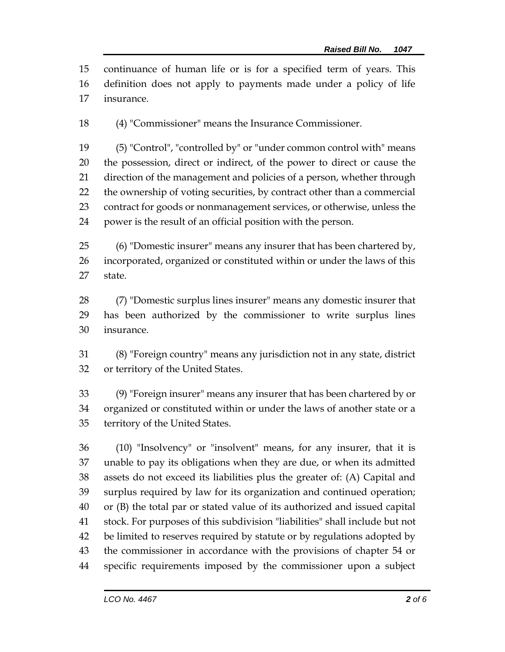continuance of human life or is for a specified term of years. This definition does not apply to payments made under a policy of life insurance.

(4) "Commissioner" means the Insurance Commissioner.

 (5) "Control", "controlled by" or "under common control with" means the possession, direct or indirect, of the power to direct or cause the direction of the management and policies of a person, whether through the ownership of voting securities, by contract other than a commercial contract for goods or nonmanagement services, or otherwise, unless the power is the result of an official position with the person.

 (6) "Domestic insurer" means any insurer that has been chartered by, incorporated, organized or constituted within or under the laws of this state.

 (7) "Domestic surplus lines insurer" means any domestic insurer that has been authorized by the commissioner to write surplus lines insurance.

 (8) "Foreign country" means any jurisdiction not in any state, district or territory of the United States.

 (9) "Foreign insurer" means any insurer that has been chartered by or organized or constituted within or under the laws of another state or a territory of the United States.

 (10) "Insolvency" or "insolvent" means, for any insurer, that it is unable to pay its obligations when they are due, or when its admitted assets do not exceed its liabilities plus the greater of: (A) Capital and surplus required by law for its organization and continued operation; or (B) the total par or stated value of its authorized and issued capital stock. For purposes of this subdivision "liabilities" shall include but not be limited to reserves required by statute or by regulations adopted by the commissioner in accordance with the provisions of chapter 54 or specific requirements imposed by the commissioner upon a subject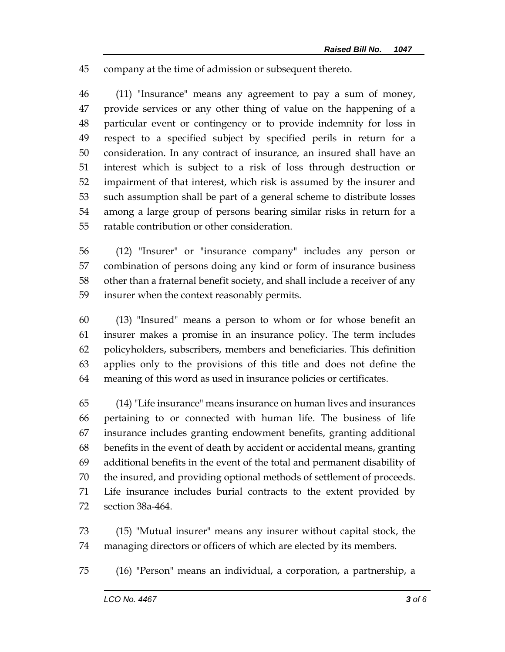company at the time of admission or subsequent thereto.

 (11) "Insurance" means any agreement to pay a sum of money, provide services or any other thing of value on the happening of a particular event or contingency or to provide indemnity for loss in respect to a specified subject by specified perils in return for a consideration. In any contract of insurance, an insured shall have an interest which is subject to a risk of loss through destruction or impairment of that interest, which risk is assumed by the insurer and such assumption shall be part of a general scheme to distribute losses among a large group of persons bearing similar risks in return for a ratable contribution or other consideration.

 (12) "Insurer" or "insurance company" includes any person or combination of persons doing any kind or form of insurance business other than a fraternal benefit society, and shall include a receiver of any insurer when the context reasonably permits.

 (13) "Insured" means a person to whom or for whose benefit an insurer makes a promise in an insurance policy. The term includes policyholders, subscribers, members and beneficiaries. This definition applies only to the provisions of this title and does not define the meaning of this word as used in insurance policies or certificates.

 (14) "Life insurance" means insurance on human lives and insurances pertaining to or connected with human life. The business of life insurance includes granting endowment benefits, granting additional benefits in the event of death by accident or accidental means, granting additional benefits in the event of the total and permanent disability of the insured, and providing optional methods of settlement of proceeds. Life insurance includes burial contracts to the extent provided by section 38a-464.

 (15) "Mutual insurer" means any insurer without capital stock, the managing directors or officers of which are elected by its members.

(16) "Person" means an individual, a corporation, a partnership, a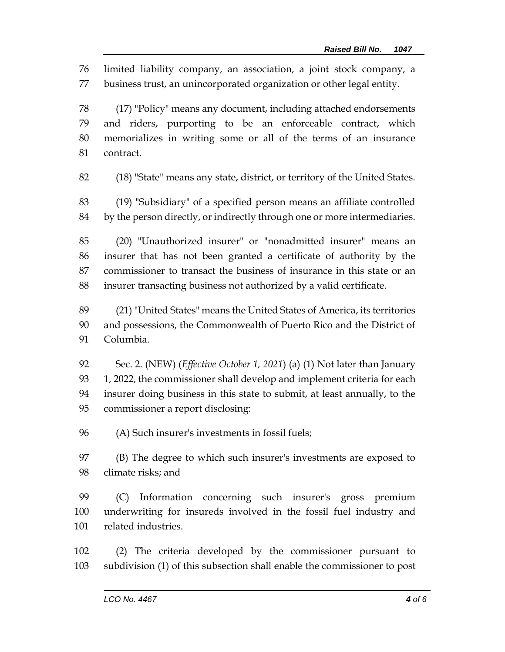limited liability company, an association, a joint stock company, a business trust, an unincorporated organization or other legal entity.

 (17) "Policy" means any document, including attached endorsements and riders, purporting to be an enforceable contract, which memorializes in writing some or all of the terms of an insurance contract.

(18) "State" means any state, district, or territory of the United States.

 (19) "Subsidiary" of a specified person means an affiliate controlled by the person directly, or indirectly through one or more intermediaries.

 (20) "Unauthorized insurer" or "nonadmitted insurer" means an insurer that has not been granted a certificate of authority by the commissioner to transact the business of insurance in this state or an insurer transacting business not authorized by a valid certificate.

 (21) "United States" means the United States of America, its territories and possessions, the Commonwealth of Puerto Rico and the District of Columbia.

 Sec. 2. (NEW) (*Effective October 1, 2021*) (a) (1) Not later than January 93 1, 2022, the commissioner shall develop and implement criteria for each insurer doing business in this state to submit, at least annually, to the commissioner a report disclosing:

(A) Such insurer's investments in fossil fuels;

 (B) The degree to which such insurer's investments are exposed to climate risks; and

 (C) Information concerning such insurer's gross premium underwriting for insureds involved in the fossil fuel industry and related industries.

 (2) The criteria developed by the commissioner pursuant to subdivision (1) of this subsection shall enable the commissioner to post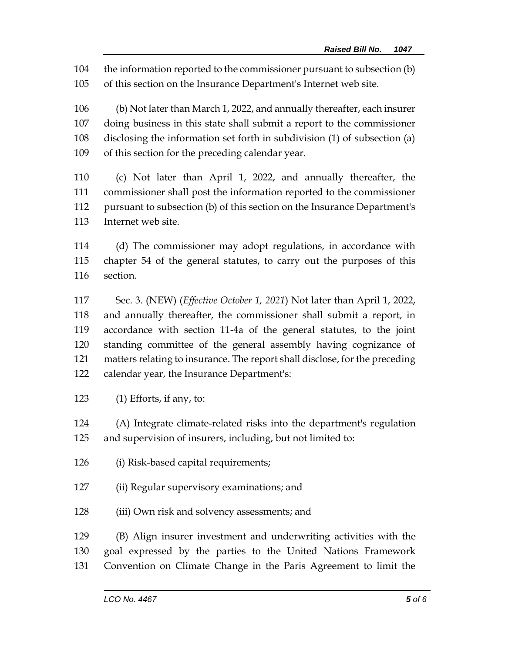the information reported to the commissioner pursuant to subsection (b)

of this section on the Insurance Department's Internet web site.

 (b) Not later than March 1, 2022, and annually thereafter, each insurer doing business in this state shall submit a report to the commissioner disclosing the information set forth in subdivision (1) of subsection (a) of this section for the preceding calendar year.

 (c) Not later than April 1, 2022, and annually thereafter, the commissioner shall post the information reported to the commissioner pursuant to subsection (b) of this section on the Insurance Department's Internet web site.

 (d) The commissioner may adopt regulations, in accordance with chapter 54 of the general statutes, to carry out the purposes of this section.

 Sec. 3. (NEW) (*Effective October 1, 2021*) Not later than April 1, 2022, and annually thereafter, the commissioner shall submit a report, in accordance with section 11-4a of the general statutes, to the joint standing committee of the general assembly having cognizance of matters relating to insurance. The report shall disclose, for the preceding calendar year, the Insurance Department's:

(1) Efforts, if any, to:

 (A) Integrate climate-related risks into the department's regulation and supervision of insurers, including, but not limited to:

- (i) Risk-based capital requirements;
- (ii) Regular supervisory examinations; and
- (iii) Own risk and solvency assessments; and

 (B) Align insurer investment and underwriting activities with the goal expressed by the parties to the United Nations Framework Convention on Climate Change in the Paris Agreement to limit the